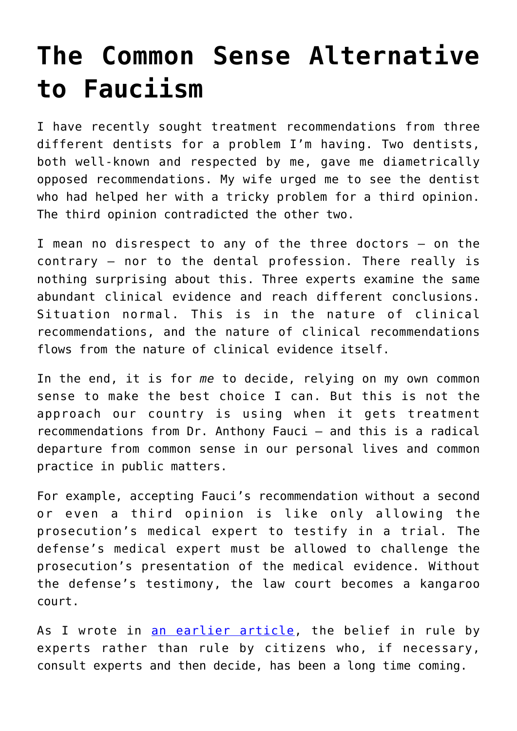## **[The Common Sense Alternative](https://intellectualtakeout.org/2020/05/the-common-sense-alternative-to-fauciism/) [to Fauciism](https://intellectualtakeout.org/2020/05/the-common-sense-alternative-to-fauciism/)**

I have recently sought treatment recommendations from three different dentists for a problem I'm having. Two dentists, both well-known and respected by me, gave me diametrically opposed recommendations. My wife urged me to see the dentist who had helped her with a tricky problem for a third opinion. The third opinion contradicted the other two.

I mean no disrespect to any of the three doctors – on the contrary – nor to the dental profession. There really is nothing surprising about this. Three experts examine the same abundant clinical evidence and reach different conclusions. Situation normal. This is in the nature of clinical recommendations, and the nature of clinical recommendations flows from the nature of clinical evidence itself.

In the end, it is for *me* to decide, relying on my own common sense to make the best choice I can. But this is not the approach our country is using when it gets treatment recommendations from Dr. Anthony Fauci – and this is a radical departure from common sense in our personal lives and common practice in public matters.

For example, accepting Fauci's recommendation without a second or even a third opinion is like only allowing the prosecution's medical expert to testify in a trial. The defense's medical expert must be allowed to challenge the prosecution's presentation of the medical evidence. Without the defense's testimony, the law court becomes a kangaroo court.

As I wrote in [an earlier article](https://amgreatness.com/2020/05/19/fauci-ism-dream-or-nightmare), the belief in rule by experts rather than rule by citizens who, if necessary, consult experts and then decide, has been a long time coming.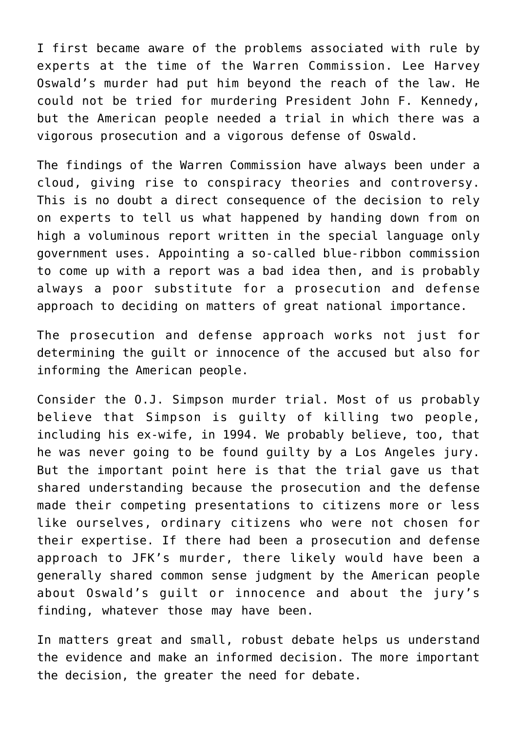I first became aware of the problems associated with rule by experts at the time of the Warren Commission. Lee Harvey Oswald's murder had put him beyond the reach of the law. He could not be tried for murdering President John F. Kennedy, but the American people needed a trial in which there was a vigorous prosecution and a vigorous defense of Oswald.

The findings of the Warren Commission have always been under a cloud, giving rise to conspiracy theories and controversy. This is no doubt a direct consequence of the decision to rely on experts to tell us what happened by handing down from on high a voluminous report written in the special language only government uses. Appointing a so-called blue-ribbon commission to come up with a report was a bad idea then, and is probably always a poor substitute for a prosecution and defense approach to deciding on matters of great national importance.

The prosecution and defense approach works not just for determining the guilt or innocence of the accused but also for informing the American people.

Consider the O.J. Simpson murder trial. Most of us probably believe that Simpson is guilty of killing two people, including his ex-wife, in 1994. We probably believe, too, that he was never going to be found guilty by a Los Angeles jury. But the important point here is that the trial gave us that shared understanding because the prosecution and the defense made their competing presentations to citizens more or less like ourselves, ordinary citizens who were not chosen for their expertise. If there had been a prosecution and defense approach to JFK's murder, there likely would have been a generally shared common sense judgment by the American people about Oswald's guilt or innocence and about the jury's finding, whatever those may have been.

In matters great and small, robust debate helps us understand the evidence and make an informed decision. The more important the decision, the greater the need for debate.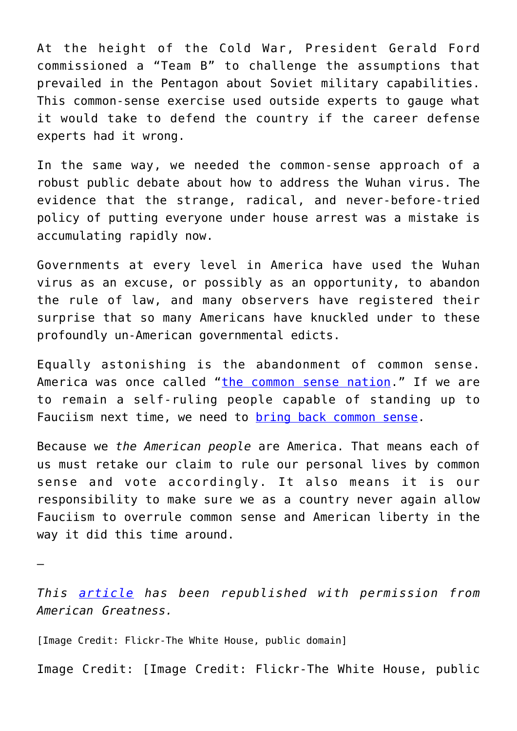At the height of the Cold War, President Gerald Ford commissioned a "Team B" to challenge the assumptions that prevailed in the Pentagon about Soviet military capabilities. This common-sense exercise used outside experts to gauge what it would take to defend the country if the career defense experts had it wrong.

In the same way, we needed the common-sense approach of a robust public debate about how to address the Wuhan virus. The evidence that the strange, radical, and never-before-tried policy of putting everyone under house arrest was a mistake is accumulating rapidly now.

Governments at every level in America have used the Wuhan virus as an excuse, or possibly as an opportunity, to abandon the rule of law, and many observers have registered their surprise that so many Americans have knuckled under to these profoundly un-American governmental edicts.

Equally astonishing is the abandonment of common sense. America was once called "[the common sense nation](https://www.amazon.com/Common-Sense-Nation-Unlocking-Forgotten/dp/1594038252)." If we are to remain a self-ruling people capable of standing up to Fauciism next time, we need to [bring back common sense](https://www.amazon.com/Reclaiming-Common-Sense-Finding-Post-Truth/dp/1641770740).

Because we *the American people* are America. That means each of us must retake our claim to rule our personal lives by common sense and vote accordingly. It also means it is our responsibility to make sure we as a country never again allow Fauciism to overrule common sense and American liberty in the way it did this time around.

*This [article](https://amgreatness.com/2020/05/25/the-common-sense-alternative-to-fauciism/) has been republished with permission from American Greatness.*

[Image Credit: Flickr-The White House, public domain]

—

Image Credit: [Image Credit: Flickr-The White House, public